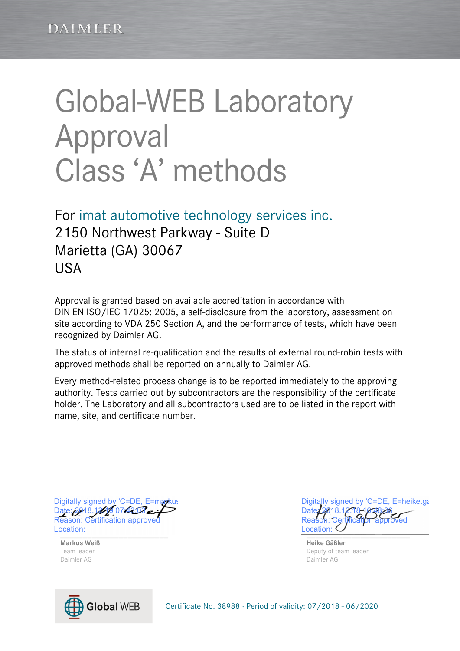# Global-WEB Laboratory Approval Class 'A' methods

For imat automotive technology services inc. 2150 Northwest Parkway - Suite D Marietta (GA) 30067 **USA** 

Approval is granted based on available accreditation in accordance with DIN EN ISO/IEC 17025: 2005, a self-disclosure from the laboratory, assessment on site according to VDA 250 Section A, and the performance of tests, which have been recognized by Daimler AG.

The status of internal re-qualification and the results of external round-robin tests with approved methods shall be reported on annually to Daimler AG.

Every method-related process change is to be reported immediately to the approving authority. Tests carried out by subcontractors are the responsibility of the certificate holder. The Laboratory and all subcontractors used are to be listed in the report with name, site, and certificate number.

 $L$ <sub>0</sub>  $L$ <sub>0</sub>  $L$ <sub>0</sub>  $L$ <sub>0</sub>  $L$ <sub>0</sub>  $L$ <sub>0</sub>  $L$ <sub>0</sub>  $L$ <sub>0</sub>  $L$ <sub>0</sub>  $L$ <sub>0</sub>  $L$ <sub>0</sub>  $L$ <sub>0</sub>  $L$ <sub>0</sub>  $L$ <sub>0</sub>  $L$ <sub>0</sub>  $L$ Digitally signed by 'C=DE, E=markus Date: 2018.12.19 07:43:03 ei Reason: Certification approve Location:

**Markus Weiß Heike Gäßler** Daimler AG Daimler AG

Digitally signed by 'C=DE, E=heike.ga Date: 2018.12.18 Reason: Certification approved Location:

Team leader **Deputy of team leader Deputy of team leader Deputy of team leader** 



Certificate No. 38988 · Period of validity: 07/2018 - 06/2020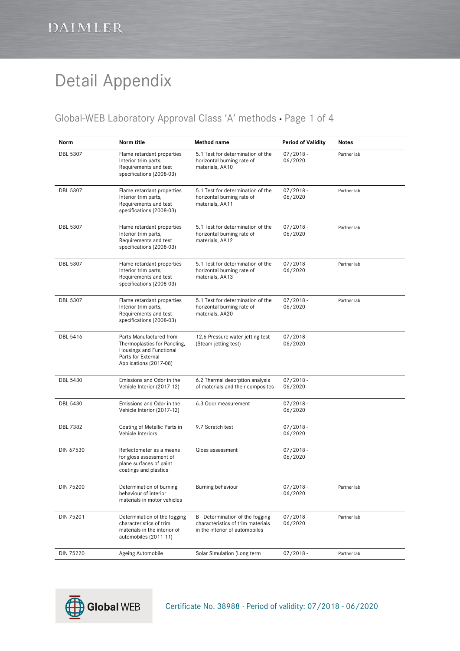#### Global-WEB Laboratory Approval Class 'A' methods · Page 1 of 4

| Norm            | Norm title                                                                                                                         | Method name                                                                                             | <b>Period of Validity</b> | Notes       |
|-----------------|------------------------------------------------------------------------------------------------------------------------------------|---------------------------------------------------------------------------------------------------------|---------------------------|-------------|
| DBL 5307        | Flame retardant properties<br>Interior trim parts,<br>Requirements and test<br>specifications (2008-03)                            | 5.1 Test for determination of the<br>horizontal burning rate of<br>materials, AA10                      | $07/2018 -$<br>06/2020    | Partner lab |
| <b>DBL 5307</b> | Flame retardant properties<br>Interior trim parts,<br>Requirements and test<br>specifications (2008-03)                            | 5.1 Test for determination of the<br>horizontal burning rate of<br>materials, AA11                      | $07/2018 -$<br>06/2020    | Partner lab |
| <b>DBL 5307</b> | Flame retardant properties<br>Interior trim parts,<br>Requirements and test<br>specifications (2008-03)                            | 5.1 Test for determination of the<br>horizontal burning rate of<br>materials, AA12                      | $07/2018 -$<br>06/2020    | Partner lab |
| DBL 5307        | Flame retardant properties<br>Interior trim parts,<br>Requirements and test<br>specifications (2008-03)                            | 5.1 Test for determination of the<br>horizontal burning rate of<br>materials, AA13                      | $07/2018 -$<br>06/2020    | Partner lab |
| <b>DBL 5307</b> | Flame retardant properties<br>Interior trim parts,<br>Requirements and test<br>specifications (2008-03)                            | 5.1 Test for determination of the<br>horizontal burning rate of<br>materials, AA20                      | $07/2018 -$<br>06/2020    | Partner lab |
| DBL 5416        | Parts Manufactured from<br>Thermoplastics for Paneling,<br>Housings and Functional<br>Parts for External<br>Applications (2017-08) | 12.6 Pressure water-jetting test<br>(Steam-jetting test)                                                | $07/2018 -$<br>06/2020    |             |
| <b>DBL 5430</b> | Emissions and Odor in the<br>Vehicle Interior (2017-12)                                                                            | 6.2 Thermal desorption analysis<br>of materials and their composites                                    | $07/2018 -$<br>06/2020    |             |
| DBL 5430        | Emissions and Odor in the<br>Vehicle Interior (2017-12)                                                                            | 6.3 Odor measurement                                                                                    | $07/2018 -$<br>06/2020    |             |
| DBL 7382        | Coating of Metallic Parts in<br>Vehicle Interiors                                                                                  | 9.7 Scratch test                                                                                        | $07/2018 -$<br>06/2020    |             |
| DIN 67530       | Reflectometer as a means<br>for gloss assessment of<br>plane surfaces of paint<br>coatings and plastics                            | Gloss assessment                                                                                        | $07/2018 -$<br>06/2020    |             |
| DIN 75200       | Determination of burning<br>behaviour of interior<br>materials in motor vehicles                                                   | Burning behaviour                                                                                       | $07/2018 -$<br>06/2020    | Partner lab |
| DIN 75201       | Determination of the fogging<br>characteristics of trim<br>materials in the interior of<br>automobiles (2011-11)                   | B - Determination of the fogging<br>characteristics of trim materials<br>in the interior of automobiles | $07/2018 -$<br>06/2020    | Partner lab |
| DIN 75220       | Ageing Automobile                                                                                                                  | Solar Simulation (Long term                                                                             | $07/2018 -$               | Partner lab |



Certificate No. 38988 · Period of validity: 07/2018 - 06/2020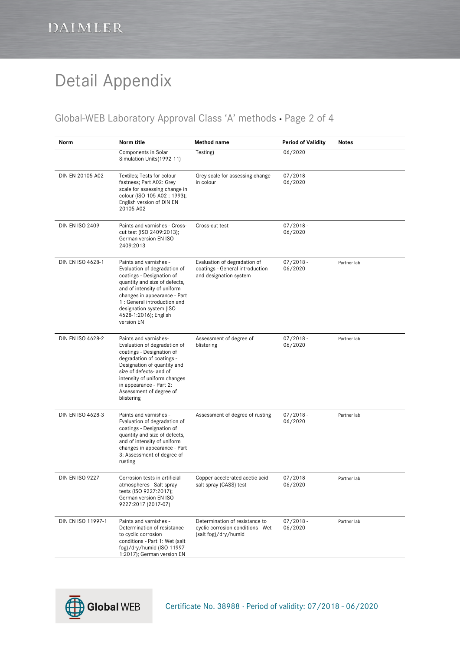#### Global-WEB Laboratory Approval Class 'A' methods · Page 2 of 4

| Norm                   | Norm title                                                                                                                                                                                                                                                                            | Method name                                                                                 | <b>Period of Validity</b> | <b>Notes</b> |
|------------------------|---------------------------------------------------------------------------------------------------------------------------------------------------------------------------------------------------------------------------------------------------------------------------------------|---------------------------------------------------------------------------------------------|---------------------------|--------------|
|                        | Components in Solar<br>Simulation Units (1992-11)                                                                                                                                                                                                                                     | Testing)                                                                                    | 06/2020                   |              |
| DIN EN 20105-A02       | Textiles; Tests for colour<br>fastness; Part A02: Grey<br>scale for assessing change in<br>colour (ISO 105-A02: 1993);<br>English version of DIN EN<br>20105-A02                                                                                                                      | Grey scale for assessing change<br>in colour                                                | $07/2018 -$<br>06/2020    |              |
| <b>DIN EN ISO 2409</b> | Paints and varnishes - Cross-<br>cut test (ISO 2409:2013);<br>German version EN ISO<br>2409:2013                                                                                                                                                                                      | Cross-cut test                                                                              | $07/2018 -$<br>06/2020    |              |
| DIN EN ISO 4628-1      | Paints and varnishes -<br>Evaluation of degradation of<br>coatings - Designation of<br>quantity and size of defects,<br>and of intensity of uniform<br>changes in appearance - Part<br>1 : General introduction and<br>designation system (ISO<br>4628-1:2016); English<br>version EN | Evaluation of degradation of<br>coatings - General introduction<br>and designation system   | $07/2018 -$<br>06/2020    | Partner lab  |
| DIN EN ISO 4628-2      | Paints and varnishes-<br>Evaluation of degradation of<br>coatings - Designation of<br>degradation of coatings -<br>Designation of quantity and<br>size of defects- and of<br>intensity of uniform changes<br>in appearance - Part 2:<br>Assessment of degree of<br>blistering         | Assessment of degree of<br>blistering                                                       | $07/2018 -$<br>06/2020    | Partner lab  |
| DIN EN ISO 4628-3      | Paints and varnishes -<br>Evaluation of degradation of<br>coatings - Designation of<br>quantity and size of defects,<br>and of intensity of uniform<br>changes in appearance - Part<br>3: Assessment of degree of<br>rusting                                                          | Assessment of degree of rusting                                                             | $07/2018 -$<br>06/2020    | Partner lab  |
| <b>DIN EN ISO 9227</b> | Corrosion tests in artificial<br>atmospheres - Salt spray<br>tests (ISO 9227:2017);<br>German version EN ISO<br>9227:2017 (2017-07)                                                                                                                                                   | Copper-accelerated acetic acid<br>salt spray (CASS) test                                    | $07/2018 -$<br>06/2020    | Partner lab  |
| DIN EN ISO 11997-1     | Paints and varnishes -<br>Determination of resistance<br>to cyclic corrosion<br>conditions - Part 1: Wet (salt<br>fog)/dry/humid (ISO 11997-<br>1:2017); German version EN                                                                                                            | Determination of resistance to<br>cyclic corrosion conditions - Wet<br>(salt fog)/dry/humid | $07/2018 -$<br>06/2020    | Partner lab  |

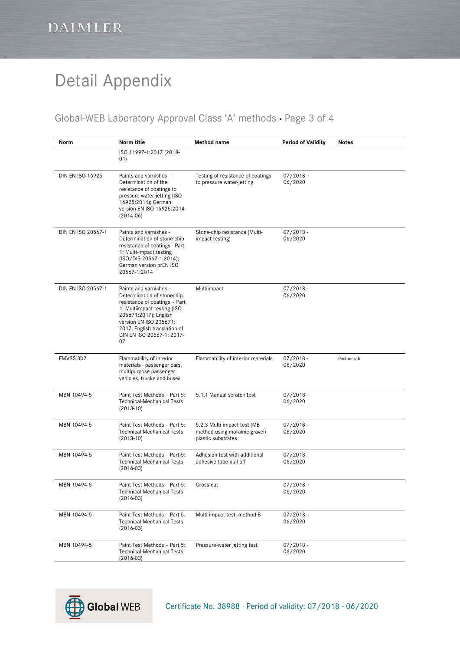#### Global-WEB Laboratory Approval Class 'A' methods · Page 3 of 4

| Norm                    | Norm title                                                                                                                                                                                                                                 | Method name                                                                        | <b>Period of Validity</b> | <b>Notes</b> |
|-------------------------|--------------------------------------------------------------------------------------------------------------------------------------------------------------------------------------------------------------------------------------------|------------------------------------------------------------------------------------|---------------------------|--------------|
|                         | ISO 11997-1:2017 (2018-<br>01)                                                                                                                                                                                                             |                                                                                    |                           |              |
| <b>DIN EN ISO 16925</b> | Paints and varnishes -<br>Determination of the<br>resistance of coatings to<br>pressure water-jetting (ISO<br>16925:2014); German<br>version EN ISO 16925:2014<br>$(2014-06)$                                                              | Testing of resistance of coatings<br>to pressure water-jetting                     | $07/2018 -$<br>06/2020    |              |
| DIN EN ISO 20567-1      | Paints and varnishes -<br>Determination of stone-chip<br>resistance of coatings - Part<br>1: Multi-impact testing<br>(ISO/DIS 20567-1:2014);<br>German version prEN ISO<br>20567-1:2014                                                    | Stone-chip resistance (Multi-<br>impact testing)                                   | $07/2018 -$<br>06/2020    |              |
| DIN EN ISO 20567-1      | Paints and varnishes -<br>Determination of stonechip<br>resistance of coatings - Part<br>1: Multiimpact testing (ISO<br>205671:2017); English<br>version EN ISO 205671:<br>2017, English translation of<br>DIN EN ISO 20567-1: 2017-<br>07 | Multiimpact                                                                        | $07/2018 -$<br>06/2020    |              |
| <b>FMVSS 302</b>        | Flammability of interior<br>materials - passenger cars,<br>multipurpose passenger<br>vehicles, trucks and buses                                                                                                                            | Flammability of interior materials                                                 | $07/2018 -$<br>06/2020    | Partner lab  |
| MBN 10494-5             | Paint Test Methods - Part 5:<br><b>Technical-Mechanical Tests</b><br>$(2013-10)$                                                                                                                                                           | 5.1.1 Manual scratch test                                                          | $07/2018 -$<br>06/2020    |              |
| MBN 10494-5             | Paint Test Methods - Part 5:<br><b>Technical-Mechanical Tests</b><br>$(2013-10)$                                                                                                                                                           | 5.2.3 Multi-impact test (MB<br>method using morainic gravel)<br>plastic substrates | $07/2018 -$<br>06/2020    |              |
| MBN 10494-5             | Paint Test Methods - Part 5:<br><b>Technical-Mechanical Tests</b><br>$(2016-03)$                                                                                                                                                           | Adhesion test with additional<br>adhesive tape pull-off                            | $07/2018 -$<br>06/2020    |              |
| MBN 10494-5             | Paint Test Methods - Part 5:<br><b>Technical-Mechanical Tests</b><br>$(2016-03)$                                                                                                                                                           | Cross-cut                                                                          | $07/2018 -$<br>06/2020    |              |
| MBN 10494-5             | Paint Test Methods - Part 5:<br><b>Technical-Mechanical Tests</b><br>$(2016-03)$                                                                                                                                                           | Multi-impact test, method B                                                        | $07/2018 -$<br>06/2020    |              |
| MBN 10494-5             | Paint Test Methods - Part 5:<br><b>Technical-Mechanical Tests</b><br>$(2016-03)$                                                                                                                                                           | Pressure-water jetting test                                                        | $07/2018 -$<br>06/2020    |              |